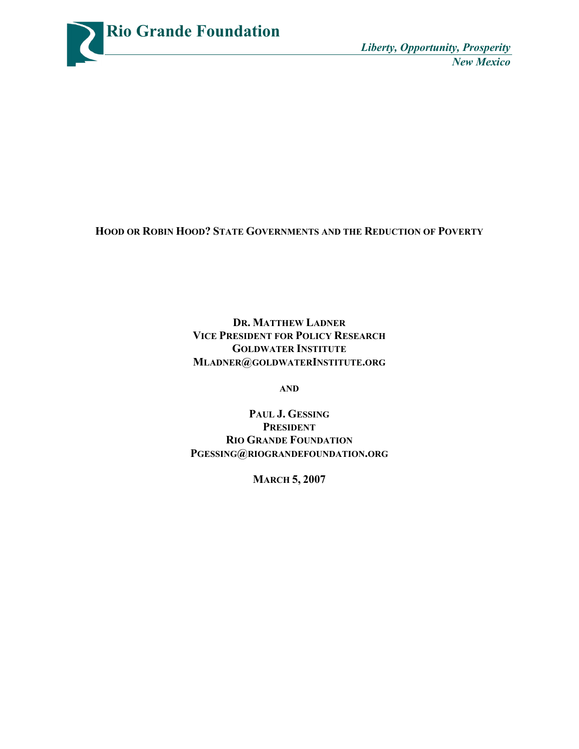

**HOOD OR ROBIN HOOD? STATE GOVERNMENTS AND THE REDUCTION OF POVERTY**

**DR. MATTHEW LADNER VICE PRESIDENT FOR POLICY RESEARCH GOLDWATER INSTITUTE MLADNER@GOLDWATERINSTITUTE.ORG**

**AND**

**PAUL J. GESSING PRESIDENT RIO GRANDE FOUNDATION PGESSING@RIOGRANDEFOUNDATION.ORG**

**MARCH 5, 2007**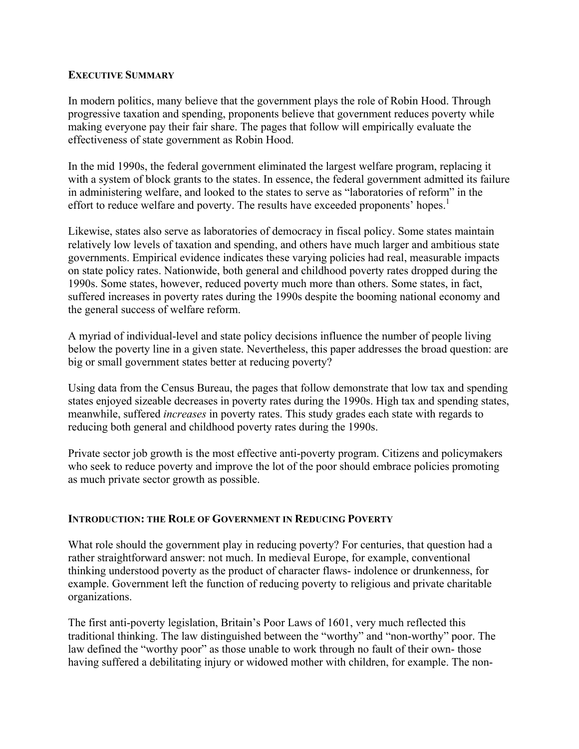#### **EXECUTIVE SUMMARY**

In modern politics, many believe that the government plays the role of Robin Hood. Through progressive taxation and spending, proponents believe that government reduces poverty while making everyone pay their fair share. The pages that follow will empirically evaluate the effectiveness of state government as Robin Hood.

In the mid 1990s, the federal government eliminated the largest welfare program, replacing it with a system of block grants to the states. In essence, the federal government admitted its failure in administering welfare, and looked to the states to serve as "laboratories of reform" in the effort to reduce welfare and poverty. The results have exceeded proponents' hopes.<sup>1</sup>

Likewise, states also serve as laboratories of democracy in fiscal policy. Some states maintain relatively low levels of taxation and spending, and others have much larger and ambitious state governments. Empirical evidence indicates these varying policies had real, measurable impacts on state policy rates. Nationwide, both general and childhood poverty rates dropped during the 1990s. Some states, however, reduced poverty much more than others. Some states, in fact, suffered increases in poverty rates during the 1990s despite the booming national economy and the general success of welfare reform.

A myriad of individual-level and state policy decisions influence the number of people living below the poverty line in a given state. Nevertheless, this paper addresses the broad question: are big or small government states better at reducing poverty?

Using data from the Census Bureau, the pages that follow demonstrate that low tax and spending states enjoyed sizeable decreases in poverty rates during the 1990s. High tax and spending states, meanwhile, suffered *increases* in poverty rates. This study grades each state with regards to reducing both general and childhood poverty rates during the 1990s.

Private sector job growth is the most effective anti-poverty program. Citizens and policymakers who seek to reduce poverty and improve the lot of the poor should embrace policies promoting as much private sector growth as possible.

## **INTRODUCTION: THE ROLE OF GOVERNMENT IN REDUCING POVERTY**

What role should the government play in reducing poverty? For centuries, that question had a rather straightforward answer: not much. In medieval Europe, for example, conventional thinking understood poverty as the product of character flaws- indolence or drunkenness, for example. Government left the function of reducing poverty to religious and private charitable organizations.

The first anti-poverty legislation, Britain's Poor Laws of 1601, very much reflected this traditional thinking. The law distinguished between the "worthy" and "non-worthy" poor. The law defined the "worthy poor" as those unable to work through no fault of their own- those having suffered a debilitating injury or widowed mother with children, for example. The non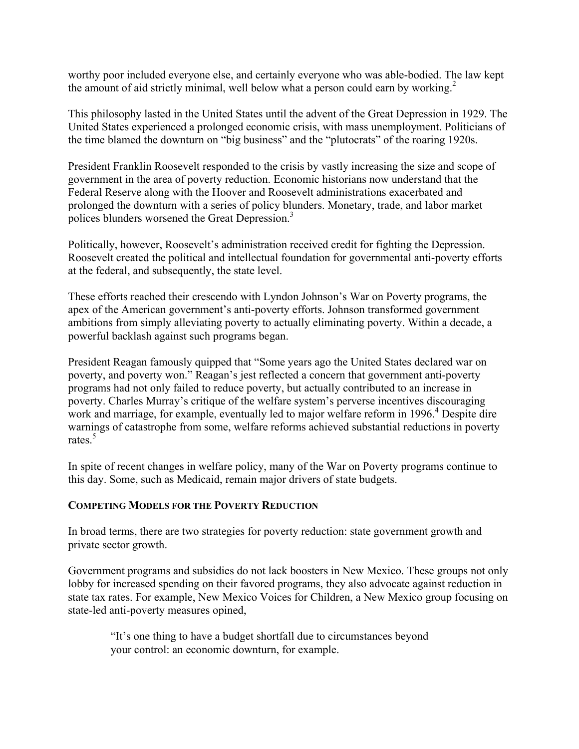worthy poor included everyone else, and certainly everyone who was able-bodied. The law kept the amount of aid strictly minimal, well below what a person could earn by working.<sup>2</sup>

This philosophy lasted in the United States until the advent of the Great Depression in 1929. The United States experienced a prolonged economic crisis, with mass unemployment. Politicians of the time blamed the downturn on "big business" and the "plutocrats" of the roaring 1920s.

President Franklin Roosevelt responded to the crisis by vastly increasing the size and scope of government in the area of poverty reduction. Economic historians now understand that the Federal Reserve along with the Hoover and Roosevelt administrations exacerbated and prolonged the downturn with a series of policy blunders. Monetary, trade, and labor market polices blunders worsened the Great Depression.<sup>3</sup>

Politically, however, Roosevelt's administration received credit for fighting the Depression. Roosevelt created the political and intellectual foundation for governmental anti-poverty efforts at the federal, and subsequently, the state level.

These efforts reached their crescendo with Lyndon Johnson's War on Poverty programs, the apex of the American government's anti-poverty efforts. Johnson transformed government ambitions from simply alleviating poverty to actually eliminating poverty. Within a decade, a powerful backlash against such programs began.

President Reagan famously quipped that "Some years ago the United States declared war on poverty, and poverty won." Reagan's jest reflected a concern that government anti-poverty programs had not only failed to reduce poverty, but actually contributed to an increase in poverty. Charles Murray's critique of the welfare system's perverse incentives discouraging work and marriage, for example, eventually led to major welfare reform in 1996.<sup>4</sup> Despite dire warnings of catastrophe from some, welfare reforms achieved substantial reductions in poverty rates $\frac{5}{5}$ 

In spite of recent changes in welfare policy, many of the War on Poverty programs continue to this day. Some, such as Medicaid, remain major drivers of state budgets.

## **COMPETING MODELS FOR THE POVERTY REDUCTION**

In broad terms, there are two strategies for poverty reduction: state government growth and private sector growth.

Government programs and subsidies do not lack boosters in New Mexico. These groups not only lobby for increased spending on their favored programs, they also advocate against reduction in state tax rates. For example, New Mexico Voices for Children, a New Mexico group focusing on state-led anti-poverty measures opined,

"It's one thing to have a budget shortfall due to circumstances beyond your control: an economic downturn, for example.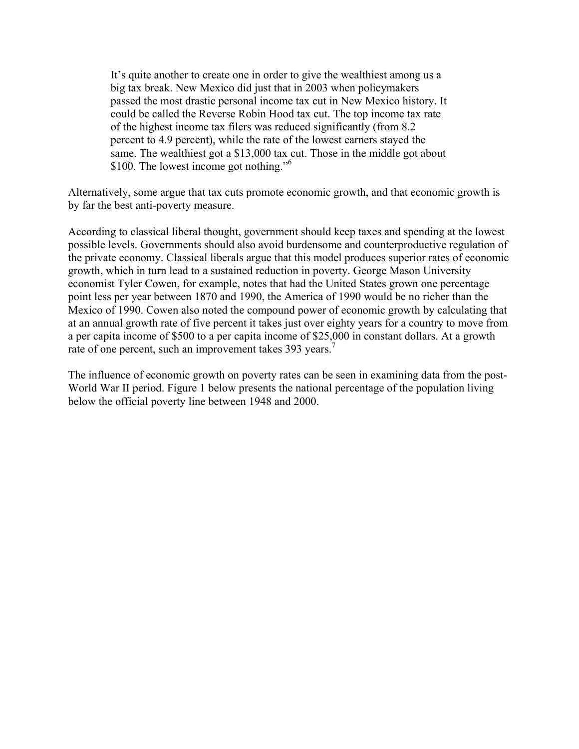It's quite another to create one in order to give the wealthiest among us a big tax break. New Mexico did just that in 2003 when policymakers passed the most drastic personal income tax cut in New Mexico history. It could be called the Reverse Robin Hood tax cut. The top income tax rate of the highest income tax filers was reduced significantly (from 8.2 percent to 4.9 percent), while the rate of the lowest earners stayed the same. The wealthiest got a \$13,000 tax cut. Those in the middle got about \$100. The lowest income got nothing."<sup>6</sup>

Alternatively, some argue that tax cuts promote economic growth, and that economic growth is by far the best anti-poverty measure.

According to classical liberal thought, government should keep taxes and spending at the lowest possible levels. Governments should also avoid burdensome and counterproductive regulation of the private economy. Classical liberals argue that this model produces superior rates of economic growth, which in turn lead to a sustained reduction in poverty. George Mason University economist Tyler Cowen, for example, notes that had the United States grown one percentage point less per year between 1870 and 1990, the America of 1990 would be no richer than the Mexico of 1990. Cowen also noted the compound power of economic growth by calculating that at an annual growth rate of five percent it takes just over eighty years for a country to move from a per capita income of \$500 to a per capita income of \$25,000 in constant dollars. At a growth rate of one percent, such an improvement takes 393 years.<sup>7</sup>

The influence of economic growth on poverty rates can be seen in examining data from the post-World War II period. Figure 1 below presents the national percentage of the population living below the official poverty line between 1948 and 2000.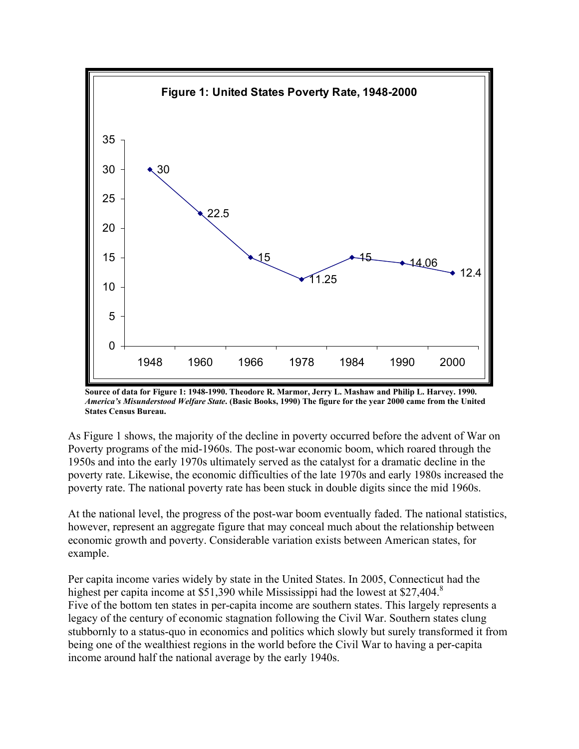

**Source of data for Figure 1: 1948-1990. Theodore R. Marmor, Jerry L. Mashaw and Philip L. Harvey. 1990.**  *America's Misunderstood Welfare State***. (Basic Books, 1990) The figure for the year 2000 came from the United States Census Bureau.** 

As Figure 1 shows, the majority of the decline in poverty occurred before the advent of War on Poverty programs of the mid-1960s. The post-war economic boom, which roared through the 1950s and into the early 1970s ultimately served as the catalyst for a dramatic decline in the poverty rate. Likewise, the economic difficulties of the late 1970s and early 1980s increased the poverty rate. The national poverty rate has been stuck in double digits since the mid 1960s.

At the national level, the progress of the post-war boom eventually faded. The national statistics, however, represent an aggregate figure that may conceal much about the relationship between economic growth and poverty. Considerable variation exists between American states, for example.

Per capita income varies widely by state in the United States. In 2005, Connecticut had the highest per capita income at \$51,390 while Mississippi had the lowest at \$27,404.<sup>8</sup> Five of the bottom ten states in per-capita income are southern states. This largely represents a legacy of the century of economic stagnation following the Civil War. Southern states clung stubbornly to a status-quo in economics and politics which slowly but surely transformed it from being one of the wealthiest regions in the world before the Civil War to having a per-capita income around half the national average by the early 1940s.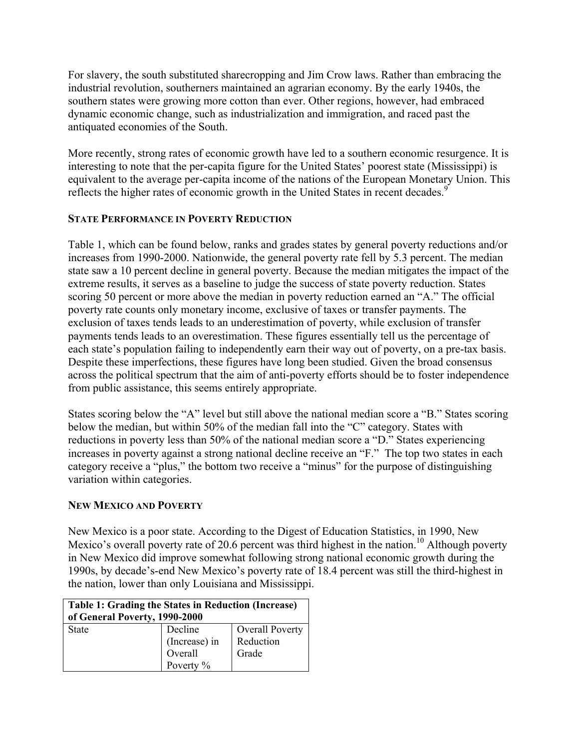For slavery, the south substituted sharecropping and Jim Crow laws. Rather than embracing the industrial revolution, southerners maintained an agrarian economy. By the early 1940s, the southern states were growing more cotton than ever. Other regions, however, had embraced dynamic economic change, such as industrialization and immigration, and raced past the antiquated economies of the South.

More recently, strong rates of economic growth have led to a southern economic resurgence. It is interesting to note that the per-capita figure for the United States' poorest state (Mississippi) is equivalent to the average per-capita income of the nations of the European Monetary Union. This reflects the higher rates of economic growth in the United States in recent decades.<sup>9</sup>

# **STATE PERFORMANCE IN POVERTY REDUCTION**

Table 1, which can be found below, ranks and grades states by general poverty reductions and/or increases from 1990-2000. Nationwide, the general poverty rate fell by 5.3 percent. The median state saw a 10 percent decline in general poverty. Because the median mitigates the impact of the extreme results, it serves as a baseline to judge the success of state poverty reduction. States scoring 50 percent or more above the median in poverty reduction earned an "A." The official poverty rate counts only monetary income, exclusive of taxes or transfer payments. The exclusion of taxes tends leads to an underestimation of poverty, while exclusion of transfer payments tends leads to an overestimation. These figures essentially tell us the percentage of each state's population failing to independently earn their way out of poverty, on a pre-tax basis. Despite these imperfections, these figures have long been studied. Given the broad consensus across the political spectrum that the aim of anti-poverty efforts should be to foster independence from public assistance, this seems entirely appropriate.

States scoring below the "A" level but still above the national median score a "B." States scoring below the median, but within 50% of the median fall into the "C" category. States with reductions in poverty less than 50% of the national median score a "D." States experiencing increases in poverty against a strong national decline receive an "F." The top two states in each category receive a "plus," the bottom two receive a "minus" for the purpose of distinguishing variation within categories.

# **NEW MEXICO AND POVERTY**

New Mexico is a poor state. According to the Digest of Education Statistics, in 1990, New Mexico's overall poverty rate of 20.6 percent was third highest in the nation.<sup>10</sup> Although poverty in New Mexico did improve somewhat following strong national economic growth during the 1990s, by decade's-end New Mexico's poverty rate of 18.4 percent was still the third-highest in the nation, lower than only Louisiana and Mississippi.

| <b>Table 1: Grading the States in Reduction (Increase)</b><br>of General Poverty, 1990-2000 |                                                  |                                              |  |
|---------------------------------------------------------------------------------------------|--------------------------------------------------|----------------------------------------------|--|
| <b>State</b>                                                                                | Decline<br>(Increase) in<br>Overall<br>Poverty % | <b>Overall Poverty</b><br>Reduction<br>Grade |  |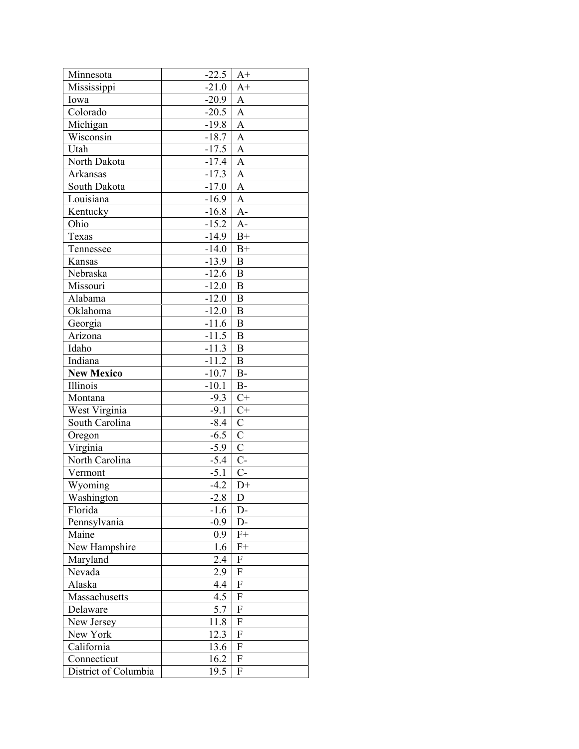| Minnesota                       | $-22.5$ | $A+$           |
|---------------------------------|---------|----------------|
| Mississippi                     | $-21.0$ | $A+$           |
| Iowa                            | $-20.9$ | A              |
| Colorado                        | $-20.5$ | $\overline{A}$ |
| Michigan                        | $-19.8$ | A              |
| Wisconsin                       | $-18.7$ | A              |
| Utah                            | $-17.5$ | A              |
| North Dakota                    | $-17.4$ | $\overline{A}$ |
| Arkansas                        | $-17.3$ | A              |
| South Dakota                    | $-17.0$ | $\overline{A}$ |
| Louisiana                       | $-16.9$ | A              |
| Kentucky                        | $-16.8$ | $A-$           |
| Ohio                            | $-15.2$ | $A-$           |
| Texas                           | $-14.9$ | $B+$           |
| Tennessee                       | $-14.0$ | $B+$           |
| Kansas                          | $-13.9$ | B              |
| Nebraska                        | $-12.6$ | B              |
| Missouri                        | $-12.0$ | B              |
| Alabama                         | $-12.0$ | $\overline{B}$ |
| Oklahoma                        | $-12.0$ | B              |
| Georgia                         | $-11.6$ | B              |
| Arizona                         | $-11.5$ | B              |
| Idaho                           | $-11.3$ | $\overline{B}$ |
| Indiana                         | $-11.2$ | $\overline{B}$ |
| <b>New Mexico</b>               | $-10.7$ | $B-$           |
|                                 |         |                |
| <i>Illinois</i>                 | $-10.1$ | $B-$           |
| Montana                         | $-9.3$  | $C+$           |
|                                 | $-9.1$  | $C+$           |
| West Virginia<br>South Carolina | $-8.4$  | $\mathbf C$    |
| Oregon                          | $-6.5$  | $\overline{C}$ |
| Virginia                        | $-5.9$  | $\overline{C}$ |
| North Carolina                  | $-5.4$  | $C-$           |
| Vermont                         | $-5.1$  | $C-$           |
| Wyoming                         | $-4.2$  | $D+$           |
| Washington                      | $-2.8$  | D              |
| Florida                         | $-1.6$  | D-             |
| Pennsylvania                    | $-0.9$  | D-             |
| Maine                           | 0.9     | $F+$           |
| New Hampshire                   | 1.6     | $F+$           |
| Maryland                        | 2.4     | F              |
| Nevada                          | 2.9     | F              |
| Alaska                          | 4.4     | ${\rm F}$      |
| Massachusetts                   | 4.5     | F              |
| Delaware                        | 5.7     | ${\bf F}$      |
| New Jersey                      | 11.8    | ${\bf F}$      |
| New York                        | 12.3    | F              |
| California                      | 13.6    | F              |
| Connecticut                     | 16.2    | F              |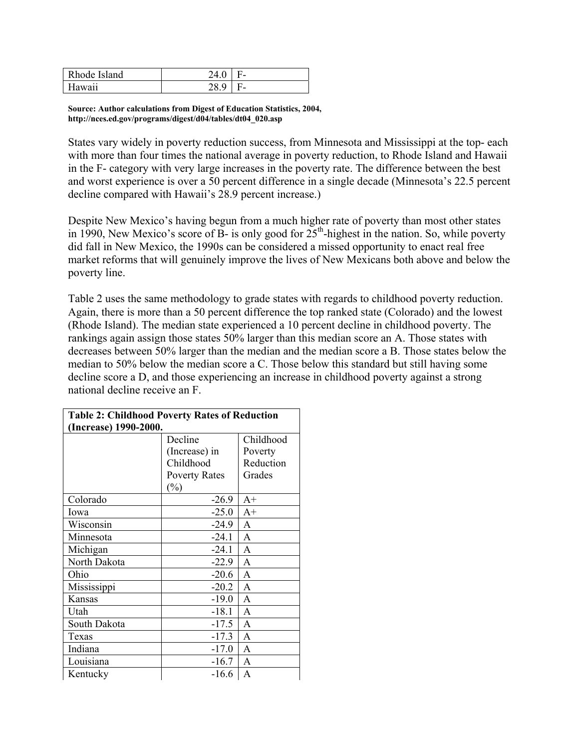| Rhode Island | 24.0 | н. |
|--------------|------|----|
| Hawaii       | 28.9 | F- |

**Source: Author calculations from Digest of Education Statistics, 2004, http://nces.ed.gov/programs/digest/d04/tables/dt04\_020.asp** 

States vary widely in poverty reduction success, from Minnesota and Mississippi at the top- each with more than four times the national average in poverty reduction, to Rhode Island and Hawaii in the F- category with very large increases in the poverty rate. The difference between the best and worst experience is over a 50 percent difference in a single decade (Minnesota's 22.5 percent decline compared with Hawaii's 28.9 percent increase.)

Despite New Mexico's having begun from a much higher rate of poverty than most other states in 1990, New Mexico's score of B- is only good for  $25<sup>th</sup>$ -highest in the nation. So, while poverty did fall in New Mexico, the 1990s can be considered a missed opportunity to enact real free market reforms that will genuinely improve the lives of New Mexicans both above and below the poverty line.

Table 2 uses the same methodology to grade states with regards to childhood poverty reduction. Again, there is more than a 50 percent difference the top ranked state (Colorado) and the lowest (Rhode Island). The median state experienced a 10 percent decline in childhood poverty. The rankings again assign those states 50% larger than this median score an A. Those states with decreases between 50% larger than the median and the median score a B. Those states below the median to 50% below the median score a C. Those below this standard but still having some decline score a D, and those experiencing an increase in childhood poverty against a strong national decline receive an F.

| <b>Table 2: Childhood Poverty Rates of Reduction</b> |                      |                |  |
|------------------------------------------------------|----------------------|----------------|--|
| (Increase) 1990-2000.                                |                      |                |  |
|                                                      | Decline              | Childhood      |  |
|                                                      | (Increase) in        | Poverty        |  |
|                                                      | Childhood            | Reduction      |  |
|                                                      | <b>Poverty Rates</b> | Grades         |  |
|                                                      | $(\%)$               |                |  |
| Colorado                                             | $-26.9$              | $A+$           |  |
| Iowa                                                 | $-25.0$              | $A+$           |  |
| Wisconsin                                            | $-24.9$              | A              |  |
| Minnesota                                            | $-24.1$              | A              |  |
| Michigan                                             | $-24.1$              | A              |  |
| North Dakota                                         | $-22.9$              | A              |  |
| Ohio                                                 | $-20.6$              | A              |  |
| Mississippi                                          | $-20.2$              | A              |  |
| Kansas                                               | $-19.0$              | A              |  |
| Utah                                                 | $-18.1$              | A              |  |
| South Dakota                                         | $-17.5$              | A              |  |
| Texas                                                | $-17.3$              | A              |  |
| Indiana                                              | $-17.0$              | $\overline{A}$ |  |
| Louisiana                                            | $-16.7$              | A              |  |
| Kentucky                                             | $-16.6$              | $\overline{A}$ |  |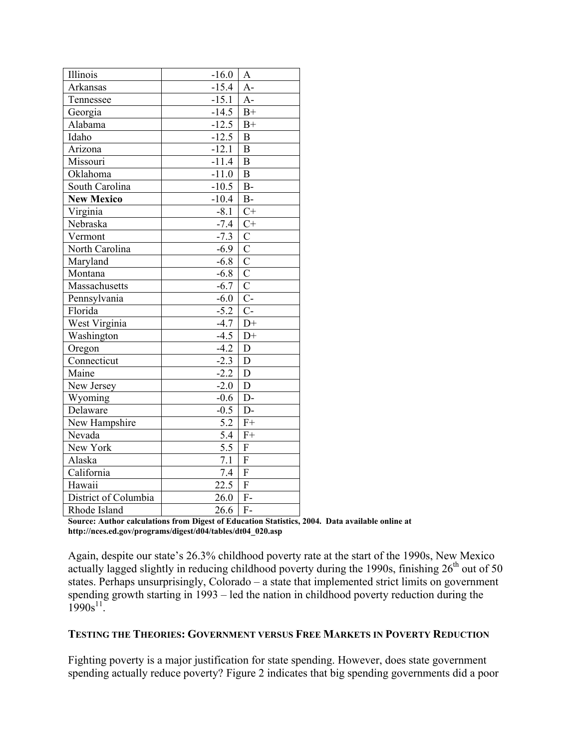| Illinois             | $-16.0$           | A                         |
|----------------------|-------------------|---------------------------|
| <b>Arkansas</b>      | $-15.4$           | $A-$                      |
| Tennessee            | $-15.1$           | $A-$                      |
| Georgia              | $-14.5$           | $B+$                      |
| Alabama              | $-12.5$           | $B+$                      |
| Idaho                | $-12.5$           | $\boldsymbol{B}$          |
| Arizona              | $-12.1$           | $\overline{B}$            |
| Missouri             | $-11.4$           | $\overline{B}$            |
| Oklahoma             | $-11.0$           | $\overline{B}$            |
| South Carolina       | $-10.5$           | $B -$                     |
| <b>New Mexico</b>    | $-10.4$           | $B-$                      |
| Virginia             | $-8.1$            | $C^+$                     |
| Nebraska             | $-7.4$            | $C+$                      |
| Vermont              | $-7.3$            | $\mathcal{C}$             |
| North Carolina       | $-6.9$            | $\overline{C}$            |
| Maryland             | $-6.8$            | $\overline{C}$            |
| Montana              | $-6.8$            | $\overline{C}$            |
| Massachusetts        | $-6.7$            | $\overline{C}$            |
| Pennsylvania         | $-6.0$            | $\overline{C}$            |
| Florida              | $-5.2$            | $\overline{C}$            |
| West Virginia        | $-4.7$            | $D+$                      |
| Washington           | $-4.5$            | $D+$                      |
| Oregon               | $-4.2$            | D                         |
| Connecticut          | $-2.3$            | $\overline{D}$            |
| Maine                | $-2.2$            | $\mathbf D$               |
| New Jersey           | $-2.0$            | D                         |
| Wyoming              | $-0.6$            | $D-$                      |
| Delaware             | $-0.5$            | $D-$                      |
| New Hampshire        | 5.2               | $F+$                      |
| Nevada               | 5.4               | $F+$                      |
| New York             | 5.5               | F                         |
| Alaska               | $\overline{7}.1$  | $\overline{F}$            |
| California           | $\overline{7.4}$  | $\boldsymbol{\mathrm{F}}$ |
| Hawaii               | $\overline{22.5}$ | $\overline{F}$            |
| District of Columbia | 26.0              | $F-$                      |
| Rhode Island         | 26.6              | $F -$                     |

**Source: Author calculations from Digest of Education Statistics, 2004. Data available online at http://nces.ed.gov/programs/digest/d04/tables/dt04\_020.asp** 

Again, despite our state's 26.3% childhood poverty rate at the start of the 1990s, New Mexico actually lagged slightly in reducing childhood poverty during the 1990s, finishing  $26<sup>th</sup>$  out of 50 states. Perhaps unsurprisingly, Colorado – a state that implemented strict limits on government spending growth starting in 1993 – led the nation in childhood poverty reduction during the  $1990s^{11}$ .

## **TESTING THE THEORIES: GOVERNMENT VERSUS FREE MARKETS IN POVERTY REDUCTION**

Fighting poverty is a major justification for state spending. However, does state government spending actually reduce poverty? Figure 2 indicates that big spending governments did a poor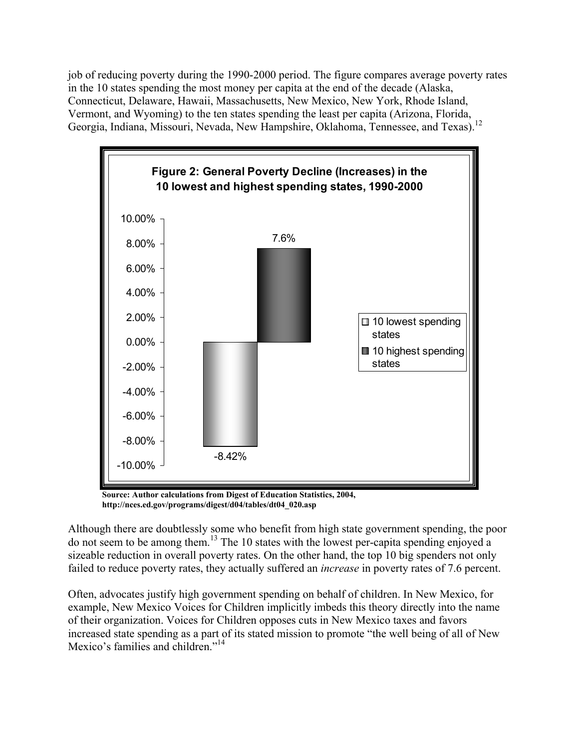job of reducing poverty during the 1990-2000 period. The figure compares average poverty rates in the 10 states spending the most money per capita at the end of the decade (Alaska, Connecticut, Delaware, Hawaii, Massachusetts, New Mexico, New York, Rhode Island, Vermont, and Wyoming) to the ten states spending the least per capita (Arizona, Florida, Georgia, Indiana, Missouri, Nevada, New Hampshire, Oklahoma, Tennessee, and Texas).<sup>12</sup>



**Source: Author calculations from Digest of Education Statistics, 2004, http://nces.ed.gov/programs/digest/d04/tables/dt04\_020.asp** 

Although there are doubtlessly some who benefit from high state government spending, the poor do not seem to be among them.13 The 10 states with the lowest per-capita spending enjoyed a sizeable reduction in overall poverty rates. On the other hand, the top 10 big spenders not only failed to reduce poverty rates, they actually suffered an *increase* in poverty rates of 7.6 percent.

Often, advocates justify high government spending on behalf of children. In New Mexico, for example, New Mexico Voices for Children implicitly imbeds this theory directly into the name of their organization. Voices for Children opposes cuts in New Mexico taxes and favors increased state spending as a part of its stated mission to promote "the well being of all of New Mexico's families and children."<sup>14</sup>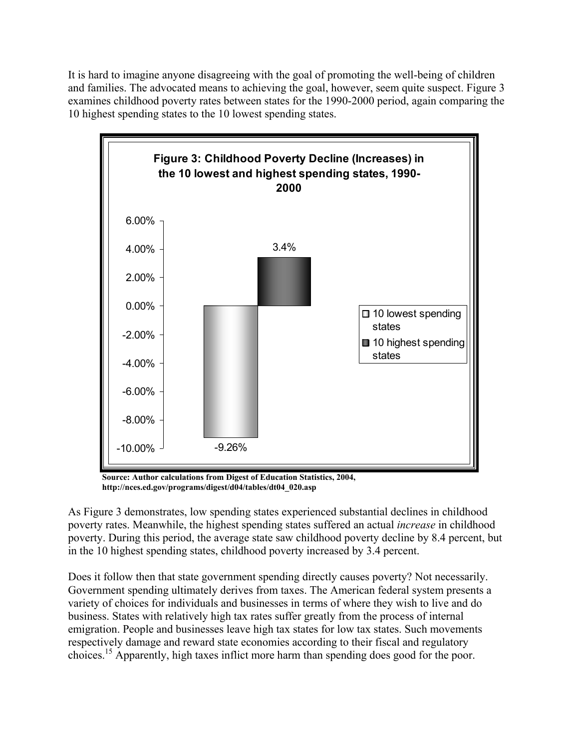It is hard to imagine anyone disagreeing with the goal of promoting the well-being of children and families. The advocated means to achieving the goal, however, seem quite suspect. Figure 3 examines childhood poverty rates between states for the 1990-2000 period, again comparing the 10 highest spending states to the 10 lowest spending states.



**Source: Author calculations from Digest of Education Statistics, 2004, http://nces.ed.gov/programs/digest/d04/tables/dt04\_020.asp** 

As Figure 3 demonstrates, low spending states experienced substantial declines in childhood poverty rates. Meanwhile, the highest spending states suffered an actual *increase* in childhood poverty. During this period, the average state saw childhood poverty decline by 8.4 percent, but in the 10 highest spending states, childhood poverty increased by 3.4 percent.

Does it follow then that state government spending directly causes poverty? Not necessarily. Government spending ultimately derives from taxes. The American federal system presents a variety of choices for individuals and businesses in terms of where they wish to live and do business. States with relatively high tax rates suffer greatly from the process of internal emigration. People and businesses leave high tax states for low tax states. Such movements respectively damage and reward state economies according to their fiscal and regulatory choices.15 Apparently, high taxes inflict more harm than spending does good for the poor.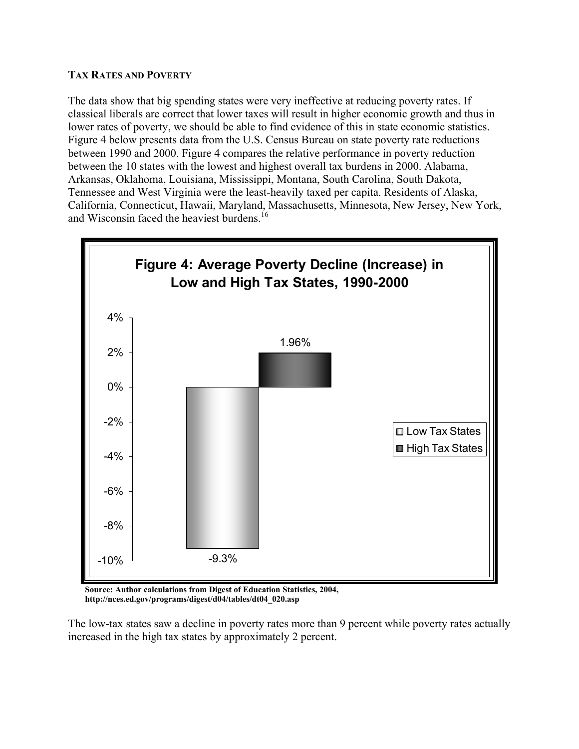## **TAX RATES AND POVERTY**

The data show that big spending states were very ineffective at reducing poverty rates. If classical liberals are correct that lower taxes will result in higher economic growth and thus in lower rates of poverty, we should be able to find evidence of this in state economic statistics. Figure 4 below presents data from the U.S. Census Bureau on state poverty rate reductions between 1990 and 2000. Figure 4 compares the relative performance in poverty reduction between the 10 states with the lowest and highest overall tax burdens in 2000. Alabama, Arkansas, Oklahoma, Louisiana, Mississippi, Montana, South Carolina, South Dakota, Tennessee and West Virginia were the least-heavily taxed per capita. Residents of Alaska, California, Connecticut, Hawaii, Maryland, Massachusetts, Minnesota, New Jersey, New York, and Wisconsin faced the heaviest burdens.<sup>16</sup>



**Source: Author calculations from Digest of Education Statistics, 2004, http://nces.ed.gov/programs/digest/d04/tables/dt04\_020.asp** 

The low-tax states saw a decline in poverty rates more than 9 percent while poverty rates actually increased in the high tax states by approximately 2 percent.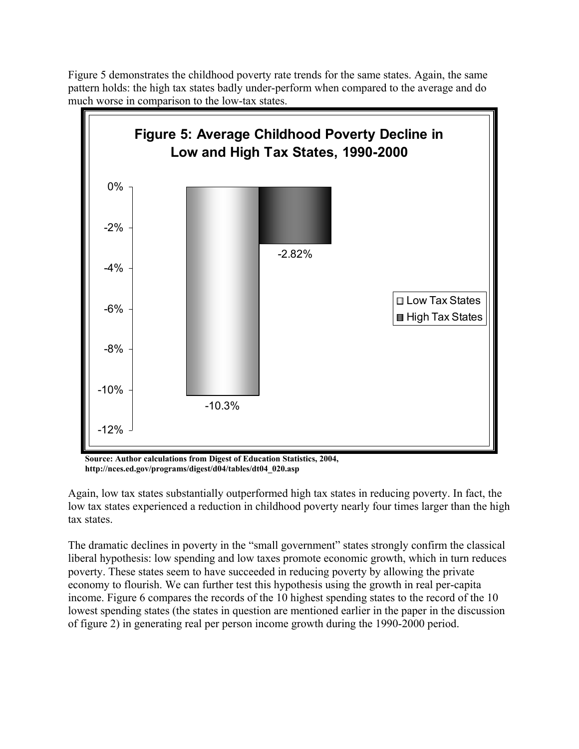Figure 5 demonstrates the childhood poverty rate trends for the same states. Again, the same pattern holds: the high tax states badly under-perform when compared to the average and do much worse in comparison to the low-tax states. **Figure 5: Average Childhood Poverty Decline in** 



**Source: Author calculations from Digest of Education Statistics, 2004, http://nces.ed.gov/programs/digest/d04/tables/dt04\_020.asp** 

Again, low tax states substantially outperformed high tax states in reducing poverty. In fact, the low tax states experienced a reduction in childhood poverty nearly four times larger than the high tax states.

The dramatic declines in poverty in the "small government" states strongly confirm the classical liberal hypothesis: low spending and low taxes promote economic growth, which in turn reduces poverty. These states seem to have succeeded in reducing poverty by allowing the private economy to flourish. We can further test this hypothesis using the growth in real per-capita income. Figure 6 compares the records of the 10 highest spending states to the record of the 10 lowest spending states (the states in question are mentioned earlier in the paper in the discussion of figure 2) in generating real per person income growth during the 1990-2000 period.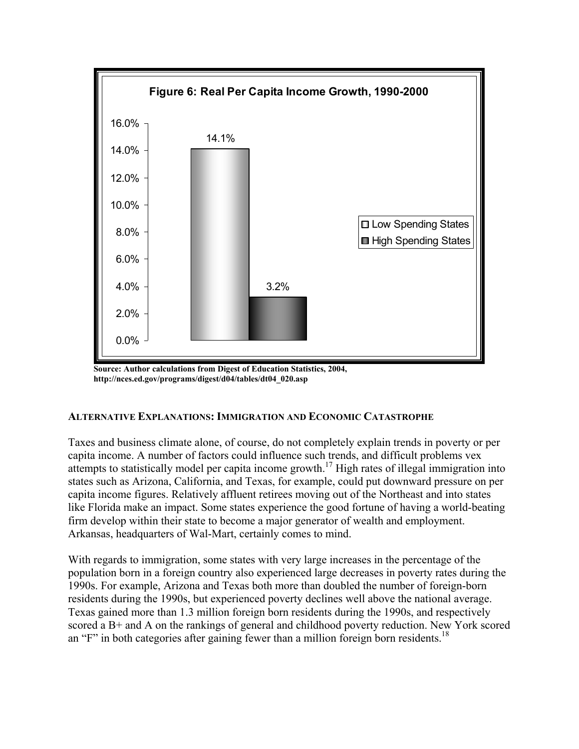

**Source: Author calculations from Digest of Education Statistics, 2004, http://nces.ed.gov/programs/digest/d04/tables/dt04\_020.asp** 

# **ALTERNATIVE EXPLANATIONS: IMMIGRATION AND ECONOMIC CATASTROPHE**

Taxes and business climate alone, of course, do not completely explain trends in poverty or per capita income. A number of factors could influence such trends, and difficult problems vex attempts to statistically model per capita income growth.17 High rates of illegal immigration into states such as Arizona, California, and Texas, for example, could put downward pressure on per capita income figures. Relatively affluent retirees moving out of the Northeast and into states like Florida make an impact. Some states experience the good fortune of having a world-beating firm develop within their state to become a major generator of wealth and employment. Arkansas, headquarters of Wal-Mart, certainly comes to mind.

With regards to immigration, some states with very large increases in the percentage of the population born in a foreign country also experienced large decreases in poverty rates during the 1990s. For example, Arizona and Texas both more than doubled the number of foreign-born residents during the 1990s, but experienced poverty declines well above the national average. Texas gained more than 1.3 million foreign born residents during the 1990s, and respectively scored a B+ and A on the rankings of general and childhood poverty reduction. New York scored an "F" in both categories after gaining fewer than a million foreign born residents.<sup>18</sup>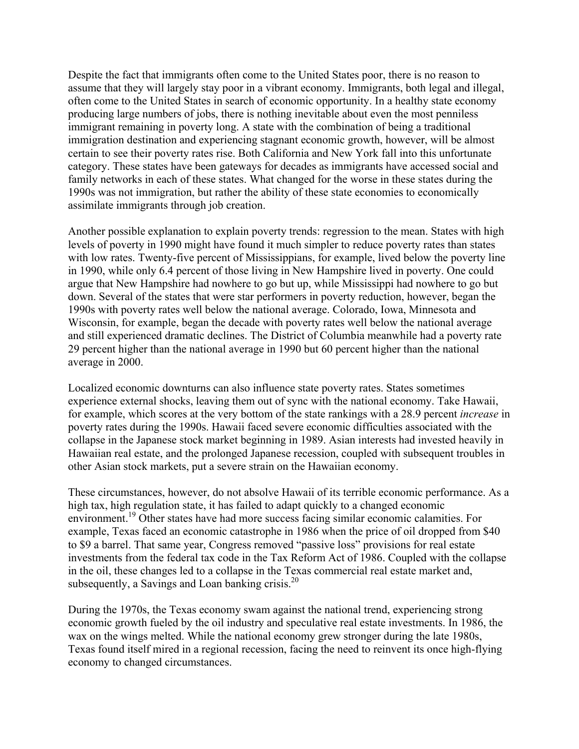Despite the fact that immigrants often come to the United States poor, there is no reason to assume that they will largely stay poor in a vibrant economy. Immigrants, both legal and illegal, often come to the United States in search of economic opportunity. In a healthy state economy producing large numbers of jobs, there is nothing inevitable about even the most penniless immigrant remaining in poverty long. A state with the combination of being a traditional immigration destination and experiencing stagnant economic growth, however, will be almost certain to see their poverty rates rise. Both California and New York fall into this unfortunate category. These states have been gateways for decades as immigrants have accessed social and family networks in each of these states. What changed for the worse in these states during the 1990s was not immigration, but rather the ability of these state economies to economically assimilate immigrants through job creation.

Another possible explanation to explain poverty trends: regression to the mean. States with high levels of poverty in 1990 might have found it much simpler to reduce poverty rates than states with low rates. Twenty-five percent of Mississippians, for example, lived below the poverty line in 1990, while only 6.4 percent of those living in New Hampshire lived in poverty. One could argue that New Hampshire had nowhere to go but up, while Mississippi had nowhere to go but down. Several of the states that were star performers in poverty reduction, however, began the 1990s with poverty rates well below the national average. Colorado, Iowa, Minnesota and Wisconsin, for example, began the decade with poverty rates well below the national average and still experienced dramatic declines. The District of Columbia meanwhile had a poverty rate 29 percent higher than the national average in 1990 but 60 percent higher than the national average in 2000.

Localized economic downturns can also influence state poverty rates. States sometimes experience external shocks, leaving them out of sync with the national economy. Take Hawaii, for example, which scores at the very bottom of the state rankings with a 28.9 percent *increase* in poverty rates during the 1990s. Hawaii faced severe economic difficulties associated with the collapse in the Japanese stock market beginning in 1989. Asian interests had invested heavily in Hawaiian real estate, and the prolonged Japanese recession, coupled with subsequent troubles in other Asian stock markets, put a severe strain on the Hawaiian economy.

These circumstances, however, do not absolve Hawaii of its terrible economic performance. As a high tax, high regulation state, it has failed to adapt quickly to a changed economic environment.<sup>19</sup> Other states have had more success facing similar economic calamities. For example, Texas faced an economic catastrophe in 1986 when the price of oil dropped from \$40 to \$9 a barrel. That same year, Congress removed "passive loss" provisions for real estate investments from the federal tax code in the Tax Reform Act of 1986. Coupled with the collapse in the oil, these changes led to a collapse in the Texas commercial real estate market and, subsequently, a Savings and Loan banking crisis. $20$ 

During the 1970s, the Texas economy swam against the national trend, experiencing strong economic growth fueled by the oil industry and speculative real estate investments. In 1986, the wax on the wings melted. While the national economy grew stronger during the late 1980s, Texas found itself mired in a regional recession, facing the need to reinvent its once high-flying economy to changed circumstances.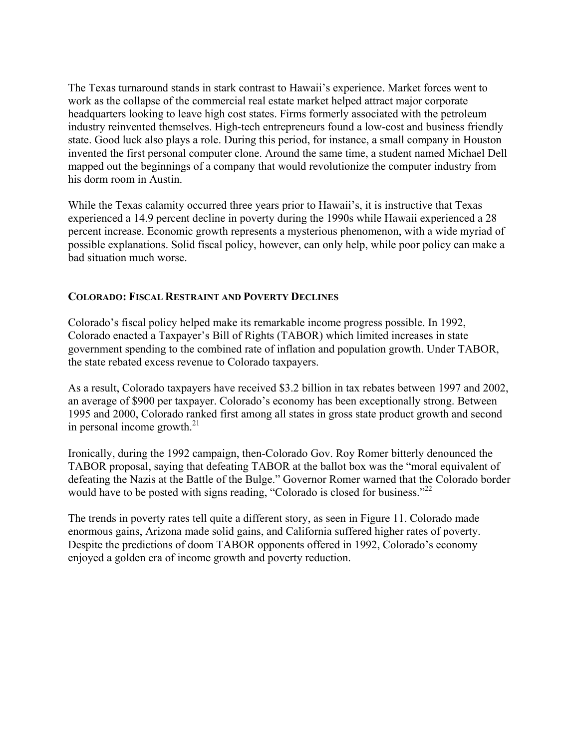The Texas turnaround stands in stark contrast to Hawaii's experience. Market forces went to work as the collapse of the commercial real estate market helped attract major corporate headquarters looking to leave high cost states. Firms formerly associated with the petroleum industry reinvented themselves. High-tech entrepreneurs found a low-cost and business friendly state. Good luck also plays a role. During this period, for instance, a small company in Houston invented the first personal computer clone. Around the same time, a student named Michael Dell mapped out the beginnings of a company that would revolutionize the computer industry from his dorm room in Austin.

While the Texas calamity occurred three years prior to Hawaii's, it is instructive that Texas experienced a 14.9 percent decline in poverty during the 1990s while Hawaii experienced a 28 percent increase. Economic growth represents a mysterious phenomenon, with a wide myriad of possible explanations. Solid fiscal policy, however, can only help, while poor policy can make a bad situation much worse.

# **COLORADO: FISCAL RESTRAINT AND POVERTY DECLINES**

Colorado's fiscal policy helped make its remarkable income progress possible. In 1992, Colorado enacted a Taxpayer's Bill of Rights (TABOR) which limited increases in state government spending to the combined rate of inflation and population growth. Under TABOR, the state rebated excess revenue to Colorado taxpayers.

As a result, Colorado taxpayers have received \$3.2 billion in tax rebates between 1997 and 2002, an average of \$900 per taxpayer. Colorado's economy has been exceptionally strong. Between 1995 and 2000, Colorado ranked first among all states in gross state product growth and second in personal income growth. $^{21}$ 

Ironically, during the 1992 campaign, then-Colorado Gov. Roy Romer bitterly denounced the TABOR proposal, saying that defeating TABOR at the ballot box was the "moral equivalent of defeating the Nazis at the Battle of the Bulge." Governor Romer warned that the Colorado border would have to be posted with signs reading, "Colorado is closed for business."<sup>22</sup>

The trends in poverty rates tell quite a different story, as seen in Figure 11. Colorado made enormous gains, Arizona made solid gains, and California suffered higher rates of poverty. Despite the predictions of doom TABOR opponents offered in 1992, Colorado's economy enjoyed a golden era of income growth and poverty reduction.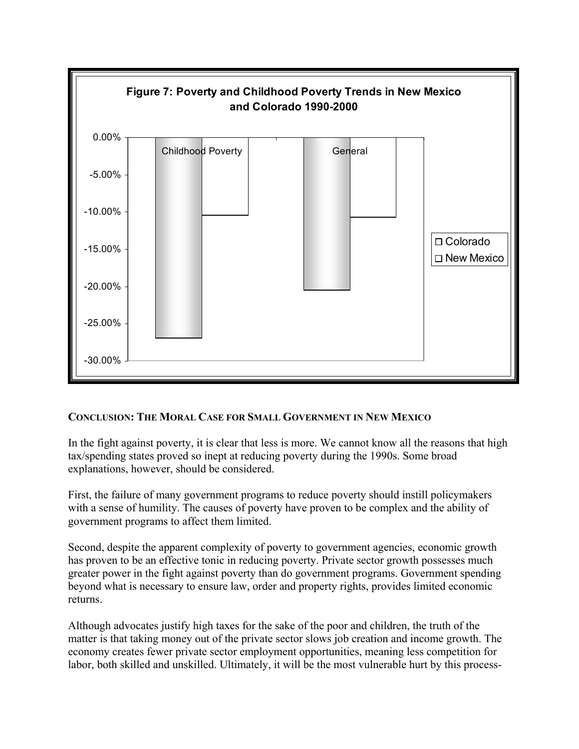

# **CONCLUSION: THE MORAL CASE FOR SMALL GOVERNMENT IN NEW MEXICO**

In the fight against poverty, it is clear that less is more. We cannot know all the reasons that high tax/spending states proved so inept at reducing poverty during the 1990s. Some broad explanations, however, should be considered.

First, the failure of many government programs to reduce poverty should instill policymakers with a sense of humility. The causes of poverty have proven to be complex and the ability of government programs to affect them limited.

Second, despite the apparent complexity of poverty to government agencies, economic growth has proven to be an effective tonic in reducing poverty. Private sector growth possesses much greater power in the fight against poverty than do government programs. Government spending beyond what is necessary to ensure law, order and property rights, provides limited economic returns.

Although advocates justify high taxes for the sake of the poor and children, the truth of the matter is that taking money out of the private sector slows job creation and income growth. The economy creates fewer private sector employment opportunities, meaning less competition for labor, both skilled and unskilled. Ultimately, it will be the most vulnerable hurt by this process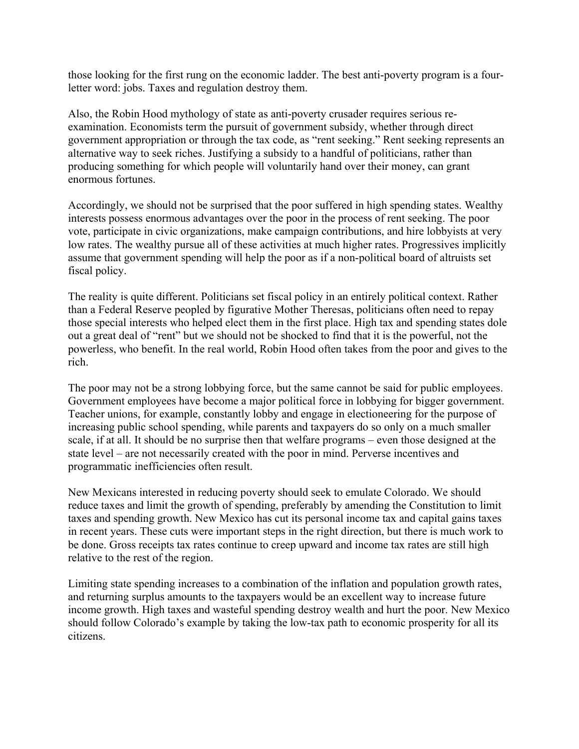those looking for the first rung on the economic ladder. The best anti-poverty program is a fourletter word: jobs. Taxes and regulation destroy them.

Also, the Robin Hood mythology of state as anti-poverty crusader requires serious reexamination. Economists term the pursuit of government subsidy, whether through direct government appropriation or through the tax code, as "rent seeking." Rent seeking represents an alternative way to seek riches. Justifying a subsidy to a handful of politicians, rather than producing something for which people will voluntarily hand over their money, can grant enormous fortunes.

Accordingly, we should not be surprised that the poor suffered in high spending states. Wealthy interests possess enormous advantages over the poor in the process of rent seeking. The poor vote, participate in civic organizations, make campaign contributions, and hire lobbyists at very low rates. The wealthy pursue all of these activities at much higher rates. Progressives implicitly assume that government spending will help the poor as if a non-political board of altruists set fiscal policy.

The reality is quite different. Politicians set fiscal policy in an entirely political context. Rather than a Federal Reserve peopled by figurative Mother Theresas, politicians often need to repay those special interests who helped elect them in the first place. High tax and spending states dole out a great deal of "rent" but we should not be shocked to find that it is the powerful, not the powerless, who benefit. In the real world, Robin Hood often takes from the poor and gives to the rich.

The poor may not be a strong lobbying force, but the same cannot be said for public employees. Government employees have become a major political force in lobbying for bigger government. Teacher unions, for example, constantly lobby and engage in electioneering for the purpose of increasing public school spending, while parents and taxpayers do so only on a much smaller scale, if at all. It should be no surprise then that welfare programs – even those designed at the state level – are not necessarily created with the poor in mind. Perverse incentives and programmatic inefficiencies often result.

New Mexicans interested in reducing poverty should seek to emulate Colorado. We should reduce taxes and limit the growth of spending, preferably by amending the Constitution to limit taxes and spending growth. New Mexico has cut its personal income tax and capital gains taxes in recent years. These cuts were important steps in the right direction, but there is much work to be done. Gross receipts tax rates continue to creep upward and income tax rates are still high relative to the rest of the region.

Limiting state spending increases to a combination of the inflation and population growth rates, and returning surplus amounts to the taxpayers would be an excellent way to increase future income growth. High taxes and wasteful spending destroy wealth and hurt the poor. New Mexico should follow Colorado's example by taking the low-tax path to economic prosperity for all its citizens.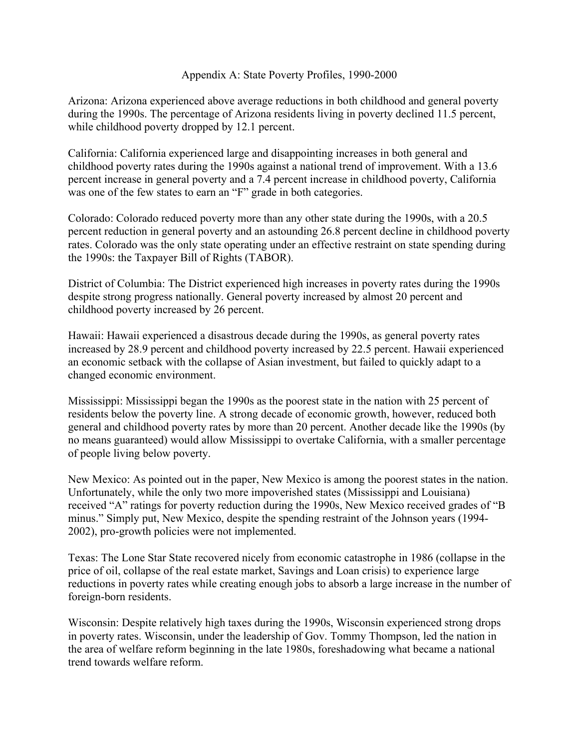## Appendix A: State Poverty Profiles, 1990-2000

Arizona: Arizona experienced above average reductions in both childhood and general poverty during the 1990s. The percentage of Arizona residents living in poverty declined 11.5 percent, while childhood poverty dropped by 12.1 percent.

California: California experienced large and disappointing increases in both general and childhood poverty rates during the 1990s against a national trend of improvement. With a 13.6 percent increase in general poverty and a 7.4 percent increase in childhood poverty, California was one of the few states to earn an "F" grade in both categories.

Colorado: Colorado reduced poverty more than any other state during the 1990s, with a 20.5 percent reduction in general poverty and an astounding 26.8 percent decline in childhood poverty rates. Colorado was the only state operating under an effective restraint on state spending during the 1990s: the Taxpayer Bill of Rights (TABOR).

District of Columbia: The District experienced high increases in poverty rates during the 1990s despite strong progress nationally. General poverty increased by almost 20 percent and childhood poverty increased by 26 percent.

Hawaii: Hawaii experienced a disastrous decade during the 1990s, as general poverty rates increased by 28.9 percent and childhood poverty increased by 22.5 percent. Hawaii experienced an economic setback with the collapse of Asian investment, but failed to quickly adapt to a changed economic environment.

Mississippi: Mississippi began the 1990s as the poorest state in the nation with 25 percent of residents below the poverty line. A strong decade of economic growth, however, reduced both general and childhood poverty rates by more than 20 percent. Another decade like the 1990s (by no means guaranteed) would allow Mississippi to overtake California, with a smaller percentage of people living below poverty.

New Mexico: As pointed out in the paper, New Mexico is among the poorest states in the nation. Unfortunately, while the only two more impoverished states (Mississippi and Louisiana) received "A" ratings for poverty reduction during the 1990s, New Mexico received grades of "B minus." Simply put, New Mexico, despite the spending restraint of the Johnson years (1994- 2002), pro-growth policies were not implemented.

Texas: The Lone Star State recovered nicely from economic catastrophe in 1986 (collapse in the price of oil, collapse of the real estate market, Savings and Loan crisis) to experience large reductions in poverty rates while creating enough jobs to absorb a large increase in the number of foreign-born residents.

Wisconsin: Despite relatively high taxes during the 1990s, Wisconsin experienced strong drops in poverty rates. Wisconsin, under the leadership of Gov. Tommy Thompson, led the nation in the area of welfare reform beginning in the late 1980s, foreshadowing what became a national trend towards welfare reform.